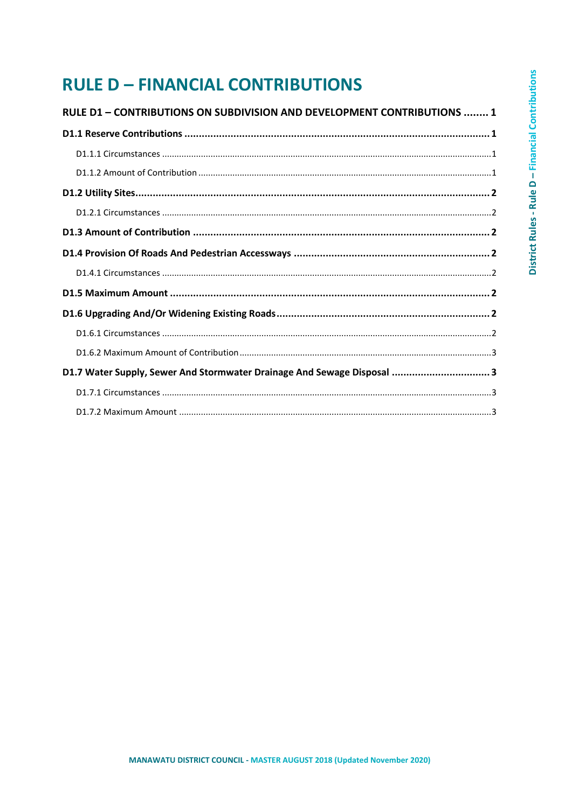# **RULE D - FINANCIAL CONTRIBUTIONS**

| RULE D1 - CONTRIBUTIONS ON SUBDIVISION AND DEVELOPMENT CONTRIBUTIONS  1 |
|-------------------------------------------------------------------------|
|                                                                         |
|                                                                         |
|                                                                         |
|                                                                         |
|                                                                         |
|                                                                         |
|                                                                         |
|                                                                         |
|                                                                         |
|                                                                         |
|                                                                         |
|                                                                         |
| D1.7 Water Supply, Sewer And Stormwater Drainage And Sewage Disposal  3 |
|                                                                         |
|                                                                         |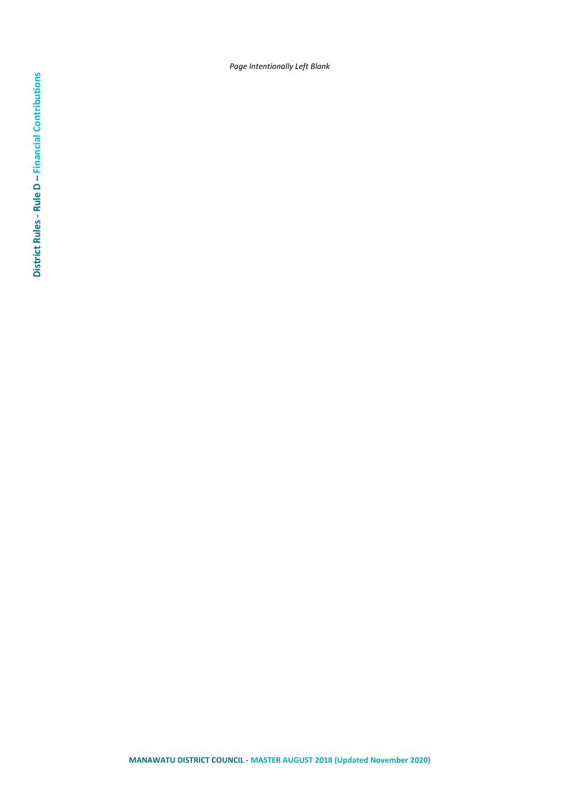*Page Intentionally Left Blank*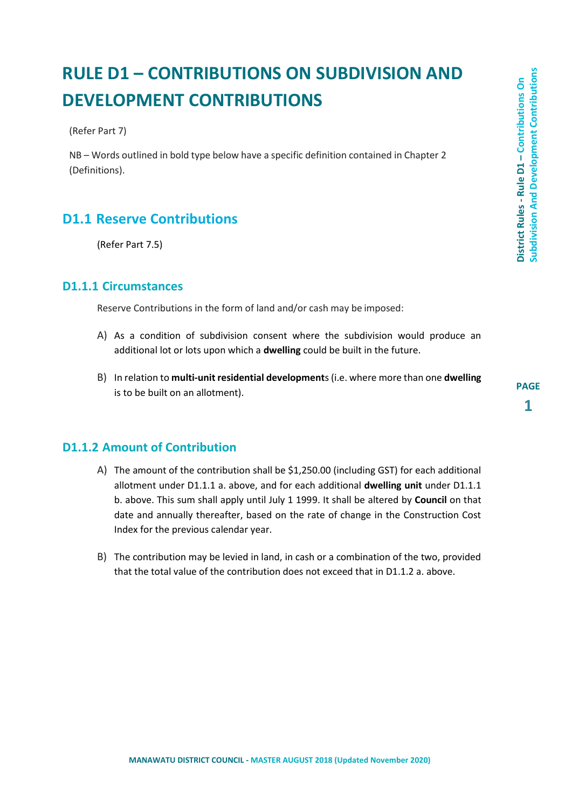# <span id="page-2-0"></span>**RULE D1 – CONTRIBUTIONS ON SUBDIVISION AND DEVELOPMENT CONTRIBUTIONS**

(Refer Part 7)

NB – Words outlined in bold type below have a specific definition contained in Chapter 2 (Definitions).

# <span id="page-2-1"></span>**D1.1 Reserve Contributions**

(Refer Part 7.5)

## <span id="page-2-2"></span>**D1.1.1 Circumstances**

Reserve Contributions in the form of land and/or cash may be imposed:

- A) As a condition of subdivision consent where the subdivision would produce an additional lot or lots upon which a **dwelling** could be built in the future.
- B) In relation to **multi-unit residential development**s (i.e. where more than one **dwelling** is to be built on an allotment).

## <span id="page-2-3"></span>**D1.1.2 Amount of Contribution**

- A) The amount of the contribution shall be \$1,250.00 (including GST) for each additional allotment under D1.1.1 a. above, and for each additional **dwelling unit** under D1.1.1 b. above. This sum shall apply until July 1 1999. It shall be altered by **Council** on that date and annually thereafter, based on the rate of change in the Construction Cost Index for the previous calendar year.
- B) The contribution may be levied in land, in cash or a combination of the two, provided that the total value of the contribution does not exceed that in D1.1.2 a. above.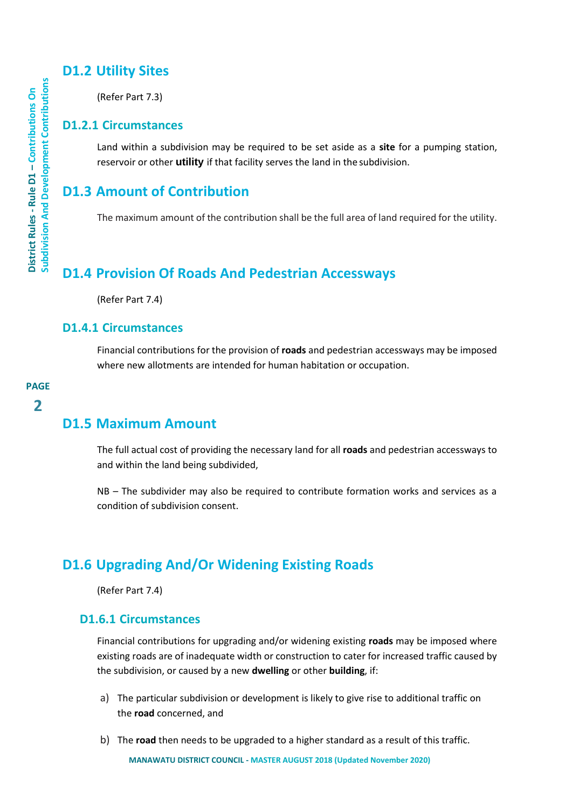# <span id="page-3-0"></span>**D1.2 Utility Sites**

(Refer Part 7.3)

#### <span id="page-3-1"></span>**D1.2.1 Circumstances**

Land within a subdivision may be required to be set aside as a **site** for a pumping station, reservoir or other **utility** if that facility serves the land in the subdivision.

# <span id="page-3-2"></span>**D1.3 Amount of Contribution**

The maximum amount of the contribution shall be the full area of land required for the utility.

# <span id="page-3-3"></span>**D1.4 Provision Of Roads And Pedestrian Accessways**

(Refer Part 7.4)

## <span id="page-3-4"></span>**D1.4.1 Circumstances**

Financial contributions for the provision of **roads** and pedestrian accessways may be imposed where new allotments are intended for human habitation or occupation.

#### **PAGE**

#### $\overline{2}$

## <span id="page-3-5"></span>**D1.5 Maximum Amount**

The full actual cost of providing the necessary land for all **roads** and pedestrian accessways to and within the land being subdivided,

NB – The subdivider may also be required to contribute formation works and services as a condition of subdivision consent.

# <span id="page-3-6"></span>**D1.6 Upgrading And/Or Widening Existing Roads**

(Refer Part 7.4)

## <span id="page-3-7"></span>**D1.6.1 Circumstances**

Financial contributions for upgrading and/or widening existing **roads** may be imposed where existing roads are of inadequate width or construction to cater for increased traffic caused by the subdivision, or caused by a new **dwelling** or other **building**, if:

- a) The particular subdivision or development is likely to give rise to additional traffic on the **road** concerned, and
- b) The **road** then needs to be upgraded to a higher standard as a result of this traffic.

**MANAWATU DISTRICT COUNCIL - MASTER AUGUST 2018 (Updated November 2020)**